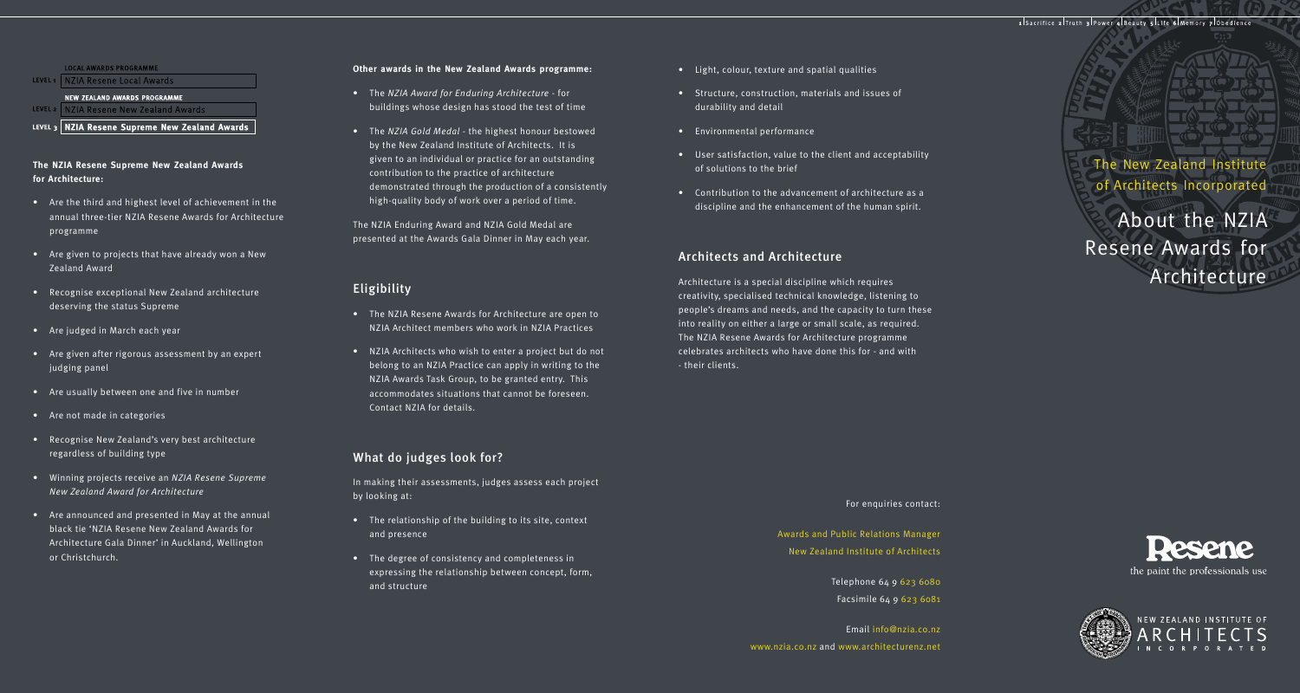## LOCAL AWARDS PROGRAMME

LEVEL<sub>1</sub> NZIA Resene Local Awards

#### NEW ZEALAND AWARDS PROGRAMME

LEVEL 2 NZIA Resene New Zealand Awards

LEVEL 3 NZIA Resene Supreme New Zealand Awards

## **The NZIA Resene Supreme New Zealand Awards for Architecture:**

- Are the third and highest level of achievement in the annual three-tier NZIA Resene Awards for Architecture programme
- Are given to projects that have already won a New Zealand Award
- Recognise exceptional New Zealand architecture deserving the status Supreme
- Are judged in March each year
- Are given after rigorous assessment by an expert judging panel
- Are usually between one and five in number
- Are not made in categories
- Recognise New Zealand's very best architecture regardless of building type
- Winning projects receive an *NZIA Resene Supreme New Zealand Award for Architecture*
- Are announced and presented in May at the annual black tie 'NZIA Resene New Zealand Awards for Architecture Gala Dinner' in Auckland, Wellington or Christchurch.

#### **Other awards in the New Zealand Awards programme:**

- The *NZIA Award for Enduring Architecture* for buildings whose design has stood the test of time
- The *NZIA Gold Medal* the highest honour bestowed by the New Zealand Institute of Architects. It is given to an individual or practice for an outstanding contribution to the practice of architecture demonstrated through the production of a consistently high-quality body of work over a period of time.

The NZIA Enduring Award and NZIA Gold Medal are presented at the Awards Gala Dinner in May each year.

• The NZIA Resene Awards for Architecture are open to NZIA Architect members who work in NZIA Practices

• NZIA Architects who wish to enter a project but do not belong to an NZIA Practice can apply in writing to the NZIA Awards Task Group, to be granted entry. This accommodates situations that cannot be foreseen.

In making their assessments, judges assess each project

• The relationship of the building to its site, context

• The degree of consistency and completeness in expressing the relationship between concept, form,

Eligibility

by looking at:

and presence

and structure

Contact NZIA for details.

What do judges look for?

- Light, colour, texture and spatial qualities
- Structure, construction, materials and issues of durability and detail
- Environmental performance
- User satisfaction, value to the client and acceptability of solutions to the brief
- Contribution to the advancement of architecture as a discipline and the enhancement of the human spirit.

## Architects and Architecture

Architecture is a special discipline which requires creativity, specialised technical knowledge, listening to people's dreams and needs, and the capacity to turn these into reality on either a large or small scale, as required. The NZIA Resene Awards for Architecture programme celebrates architects who have done this for - and with - their clients.

The New Zealand Institute of Architects Incorporated

About the NZIA Resene Awards for Architecture

#### For enquiries contact:

Awards and Public Relations Manager New Zealand Institute of Architects

> Telephone 64 9 623 6080 Facsimile 64 9 623 6081

Email info@nzia.co.nz www.nzia.co.nz and www.architecturenz.net